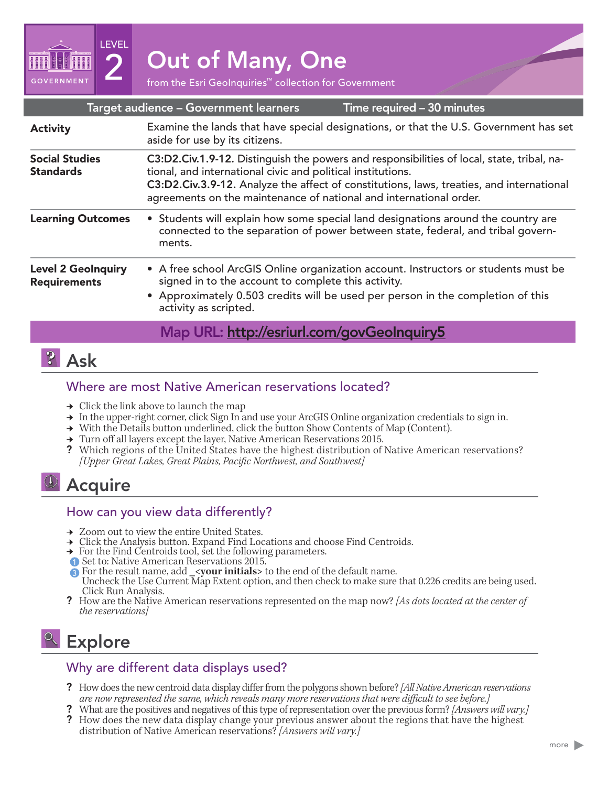

| Target audience - Government learners<br>Time required - 30 minutes |                                                                                                                                                                                                                                                                                                                             |
|---------------------------------------------------------------------|-----------------------------------------------------------------------------------------------------------------------------------------------------------------------------------------------------------------------------------------------------------------------------------------------------------------------------|
| <b>Activity</b>                                                     | Examine the lands that have special designations, or that the U.S. Government has set<br>aside for use by its citizens.                                                                                                                                                                                                     |
| <b>Social Studies</b><br><b>Standards</b>                           | C3:D2.Civ.1.9-12. Distinguish the powers and responsibilities of local, state, tribal, na-<br>tional, and international civic and political institutions.<br>C3:D2.Civ.3.9-12. Analyze the affect of constitutions, laws, treaties, and international<br>agreements on the maintenance of national and international order. |
| <b>Learning Outcomes</b>                                            | • Students will explain how some special land designations around the country are<br>connected to the separation of power between state, federal, and tribal govern-<br>ments.                                                                                                                                              |
| <b>Level 2 GeoInquiry</b><br><b>Requirements</b>                    | • A free school ArcGIS Online organization account. Instructors or students must be<br>signed in to the account to complete this activity.<br>• Approximately 0.503 credits will be used per person in the completion of this<br>activity as scripted.                                                                      |
|                                                                     | Map URL: http://esriurl.com/govGeoInquiry5                                                                                                                                                                                                                                                                                  |

## $|?|$  Ask

GOVERNMENT

LEVEL

### Where are most Native American reservations located?

- $\rightarrow$  Click the link above to launch the map
- → In the upper-right corner, click Sign In and use your ArcGIS Online organization credentials to sign in.
- → With the Details button underlined, click the button Show Contents of Map (Content).
- → Turn off all layers except the layer, Native American Reservations 2015.
- ? Which regions of the United States have the highest distribution of Native American reservations? *[Upper Great Lakes, Great Plains, Pacific Northwest, and Southwest]*

# <sup>1</sup> Acquire

#### How can you view data differently?

- **→** Zoom out to view the entire United States.
- → Click the Analysis button. Expand Find Locations and choose Find Centroids.
- → For the Find Centroids tool, set the following parameters.
- ʅ Set to: Native American Reservations 2015. 1
- **a** For the result name, add \_<**your initials**> to the end of the default name.
- Uncheck the Use Current Map Extent option, and then check to make sure that 0.226 credits are being used.
- Plow are the Native American reservations represented on the map now? *[As dots located at the center of the reservations]*

# Explore

## Why are different data displays used?

- ? How does the new centroid data display differ from the polygons shown before? *[All Native American reservations are now represented the same, which reveals many more reservations that were difficult to see before.]*
- ? What are the positives and negatives of this type of representation over the previous form? *[Answers will vary.]*
- ? How does the new data display change your previous answer about the regions that have the highest distribution of Native American reservations? *[Answers will vary.]*